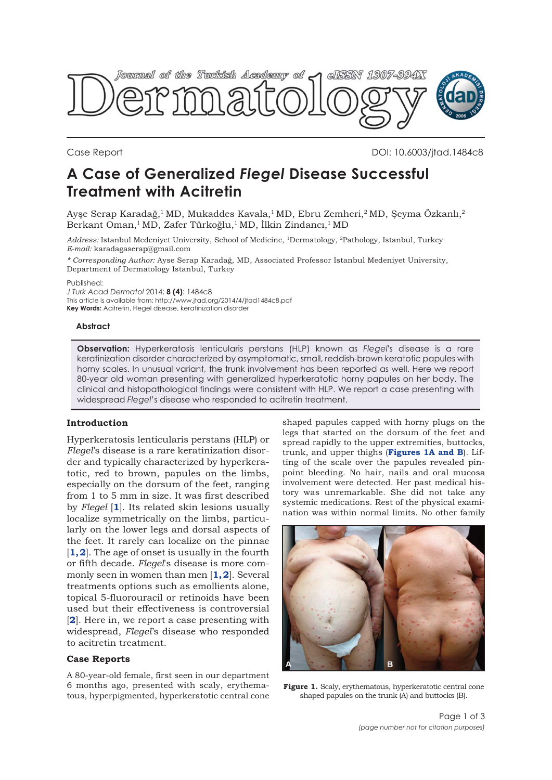

Case Report DOI: 10.6003/jtad.1484c8

# **A Case of Generalized** *Flegel* **Disease Successful Treatment with Acitretin**

Ayşe Serap Karadağ, $^1$ MD, Mukaddes Kavala, $^1$ MD, Ebru Zemheri, $^2$ MD, Şeyma Özkanlı, $^2$ Berkant Oman,<sup>1</sup>MD, Zafer Türkoğlu,<sup>1</sup>MD, İlkin Zindancı,<sup>1</sup>MD

*Address:* Istanbul Medeniyet University, School of Medicine, 1Dermatology, 2Pathology, Istanbul, Turkey *E-mail:* karadagaserap@gmail.com

*\* Corresponding Author:* Ayse Serap Karadağ, MD, Associated Professor Istanbul Medeniyet University, Department of Dermatology Istanbul, Turkey

Published:

*J Turk Acad Dermatol* 2014; **8 (4)**: 1484c8

This article is available from: http://www.jtad.org/2014/4/jtad1484c8.pdf **Key Words:** Acitretin, Flegel disease, keratinization disorder

**Abstract**

**Observation:** Hyperkeratosis lenticularis perstans (HLP) known as *Flegel*'s disease is a rare keratinization disorder characterized by asymptomatic, small, reddish-brown keratotic papules with horny scales. In unusual variant, the trunk involvement has been reported as well. Here we report 80-year old woman presenting with generalized hyperkeratotic horny papules on her body. The clinical and histopathological findings were consistent with HLP. We report a case presenting with widespread *Flegel*'s disease who responded to acitretin treatment.

# **Introduction**

Hyperkeratosis lenticularis perstans (HLP) or *Flegel*'s disease is a rare keratinization disorder and typically characterized by hyperkeratotic, red to brown, papules on the limbs, especially on the dorsum of the feet, ranging from 1 to 5 mm in size. It was first described by *Flegel* [**[1](#page-2-0)**]. Its related skin lesions usually localize symmetrically on the limbs, particularly on the lower legs and dorsal aspects of the feet. It rarely can localize on the pinnae [1,2]. The age of onset is usually in the fourth or fifth decade. *Flegel*'s disease is more commonly seen in women than men [**[1, 2](#page-2-0)**]. Several treatments options such as emollients alone, topical 5-fluorouracil or retinoids have been used but their effectiveness is controversial [**[2](#page-1-0)**]. Here in, we report a case presenting with widespread, *Flegel*'s disease who responded to acitretin treatment.

### **Case Reports**

A 80-year-old female, first seen in our department 6 months ago, presented with scaly, erythematous, hyperpigmented, hyperkeratotic central cone

shaped papules capped with horny plugs on the legs that started on the dorsum of the feet and spread rapidly to the upper extremities, buttocks, trunk, and upper thighs (**Figures 1A and B**). Lifting of the scale over the papules revealed pinpoint bleeding. No hair, nails and oral mucosa involvement were detected. Her past medical history was unremarkable. She did not take any systemic medications. Rest of the physical examination was within normal limits. No other family



**Figure 1.** Scaly, erythematous, hyperkeratotic central cone shaped papules on the trunk (A) and buttocks (B).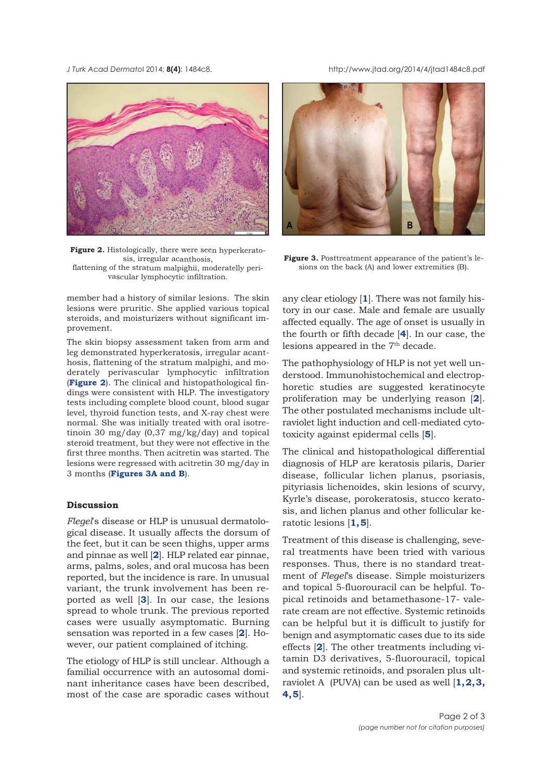<span id="page-1-0"></span>*J Turk Acad Dermato*l 2014; **8(4)**: 1484c8. http://www.jtad.org/2014/4/jtad1484c8.pdf



**Figure 2.** Histologically, there were seen hyperkeratosis, irregular acanthosis, flattening of the stratum malpighii, moderatelly perivascular lymphocytic infiltration.

member had a history of similar lesions. The skin lesions were pruritic. She applied various topical steroids, and moisturizers without significant improvement.

The skin biopsy assessment taken from arm and leg demonstrated hyperkeratosis, irregular acanthosis, flattening of the stratum malpighi, and moderately perivascular lymphocytic infiltration (**Figure 2**). The clinical and histopathological findings were consistent with HLP. The investigatory tests including complete blood count, blood sugar level, thyroid function tests, and X-ray chest were normal. She was initially treated with oral isotretinoin 30 mg/day (0,37 mg/kg/day) and topical steroid treatment, but they were not effective in the first three months. Then acitretin was started. The lesions were regressed with acitretin 30 mg/day in 3 months (**Figures 3A and B**).

# **Discussion**

*Flegel*'s disease or HLP is unusual dermatological disease. It usually affects the dorsum of the feet, but it can be seen thighs, upper arms and pinnae as well [**[2](#page-2-0)**]. HLP related ear pinnae, arms, palms, soles, and oral mucosa has been reported, but the incidence is rare. In unusual variant, the trunk involvement has been reported as well [**[3](#page-2-0)**]. In our case, the lesions spread to whole trunk. The previous reported cases were usually asymptomatic. Burning sensation was reported in a few cases [**[2](#page-2-0)**]. However, our patient complained of itching.

The etiology of HLP is still unclear. Although a familial occurrence with an autosomal dominant inheritance cases have been described, most of the case are sporadic cases without



**Figure 3.** Posttreatment appearance of the patient's lesions on the back (A) and lower extremities (B).

any clear etiology [**[1](#page-2-0)**]. There was not family history in our case. Male and female are usually affected equally. The age of onset is usually in the fourth or fifth decade [**[4](#page-2-0)**]. In our case, the lesions appeared in the 7<sup>th</sup> decade.

The pathophysiology of HLP is not yet well understood. Immunohistochemical and electrophoretic studies are suggested keratinocyte proliferation may be underlying reason [**[2](#page-2-0)**]. The other postulated mechanisms include ultraviolet light induction and cell-mediated cytotoxicity against epidermal cells [**[5](#page-2-0)**].

The clinical and histopathological differential diagnosis of HLP are keratosis pilaris, Darier disease, follicular lichen planus, psoriasis, pityriasis lichenoides, skin lesions of scurvy, Kyrle's disease, porokeratosis, stucco keratosis, and lichen planus and other follicular keratotic lesions [**[1](#page-2-0), [5](#page-2-0)**].

Treatment of this disease is challenging, several treatments have been tried with various responses. Thus, there is no standard treatment of *Flegel*'s disease. Simple moisturizers and topical 5-fluorouracil can be helpful. Topical retinoids and betamethasone-17- valerate cream are not effective. Systemic retinoids can be helpful but it is difficult to justify for benign and asymptomatic cases due to its side effects [**[2](#page-2-0)**]. The other treatments including vitamin D3 derivatives, 5-fluorouracil, topical and systemic retinoids, and psoralen plus ultraviolet A (PUVA) can be used as well [**[1, 2, 3,](#page-2-0) [4](#page-2-0), [5](#page-2-0)**].